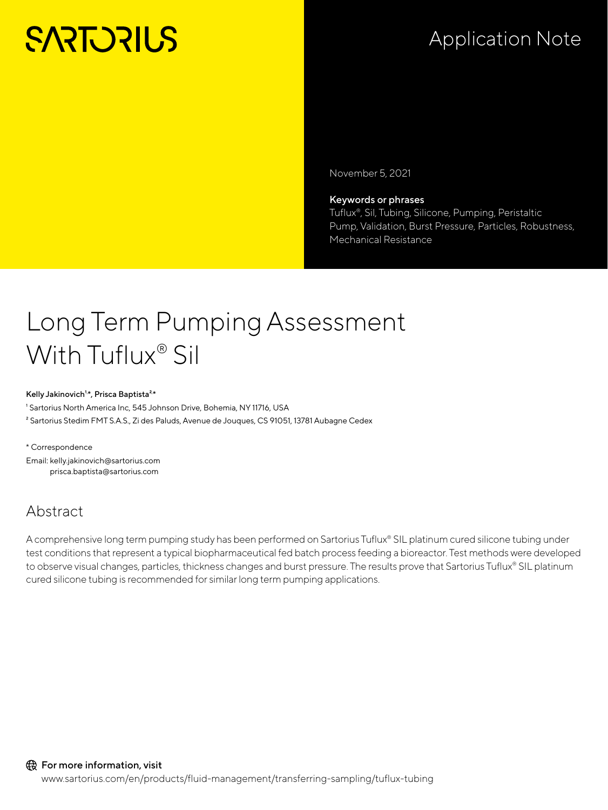# **SARTORILS**

### Application Note

November 5, 2021

#### Keywords or phrases

Tuflux®, Sil, Tubing, Silicone, Pumping, Peristaltic Pump, Validation, Burst Pressure, Particles, Robustness, Mechanical Resistance

### Long Term Pumping Assessment With Tuflux® Sil

#### Kelly Jakinovich<sup>1,\*</sup>, Prisca Baptista<sup>2,\*</sup>

<sup>1</sup> Sartorius North America Inc, 545 Johnson Drive, Bohemia, NY 11716, USA

<sup>2</sup> Sartorius Stedim FMT S.A.S., Zi des Paluds, Avenue de Jouques, CS 91051, 13781 Aubagne Cedex

\* Correspondence Email: kelly.jakinovich@sartorius.com prisca.baptista@sartorius.com

### Abstract

A comprehensive long term pumping study has been performed on Sartorius Tuflux® SIL platinum cured silicone tubing under test conditions that represent a typical biopharmaceutical fed batch process feeding a bioreactor. Test methods were developed to observe visual changes, particles, thickness changes and burst pressure. The results prove that Sartorius Tuflux® SIL platinum cured silicone tubing is recommended for similar long term pumping applications.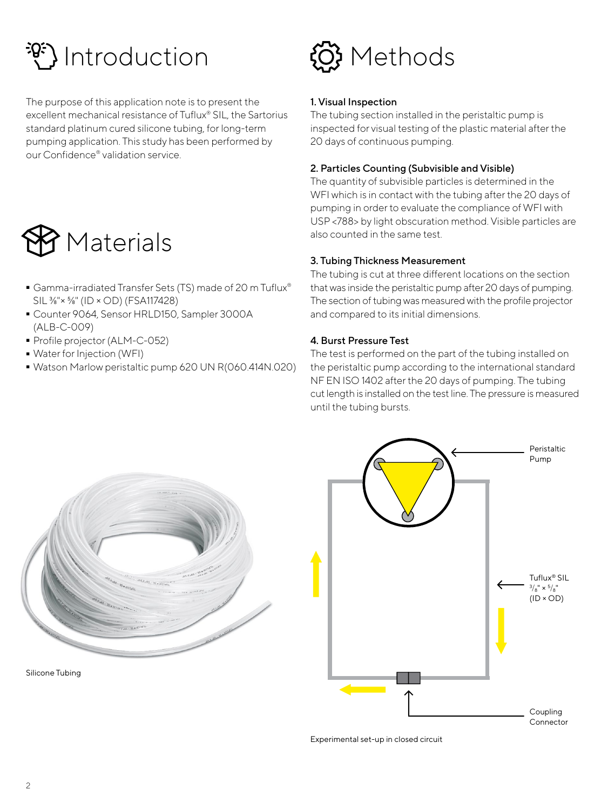## Introduction

The purpose of this application note is to present the excellent mechanical resistance of Tuflux® SIL, the Sartorius standard platinum cured silicone tubing, for long-term pumping application. This study has been performed by our Confidence® validation service.



- Gamma-irradiated Transfer Sets (TS) made of 20 m Tuflux® SIL ⅜"× ⅝" (ID × OD) (FSA117428)
- Counter 9064, Sensor HRLD150, Sampler 3000A (ALB-C-009)
- Profile projector (ALM-C-052)<br>• Water for Injection (WFI)
- 
- Water for Injection (WFI) - Watson Marlow peristaltic pump 620 UN R(060.414N.020)



#### 1. Visual Inspection

The tubing section installed in the peristaltic pump is inspected for visual testing of the plastic material after the 20 days of continuous pumping.

#### 2. Particles Counting (Subvisible and Visible)

The quantity of subvisible particles is determined in the WFI which is in contact with the tubing after the 20 days of pumping in order to evaluate the compliance of WFI with USP <788> by light obscuration method. Visible particles are also counted in the same test.

#### 3. Tubing Thickness Measurement

The tubing is cut at three different locations on the section that was inside the peristaltic pump after 20 days of pumping. The section of tubing was measured with the profile projector and compared to its initial dimensions.

#### 4. Burst Pressure Test

The test is performed on the part of the tubing installed on the peristaltic pump according to the international standard NF EN ISO 1402 after the 20 days of pumping. The tubing cut length is installed on the test line. The pressure is measured until the tubing bursts.



Silicone Tubing



Experimental set-up in closed circuit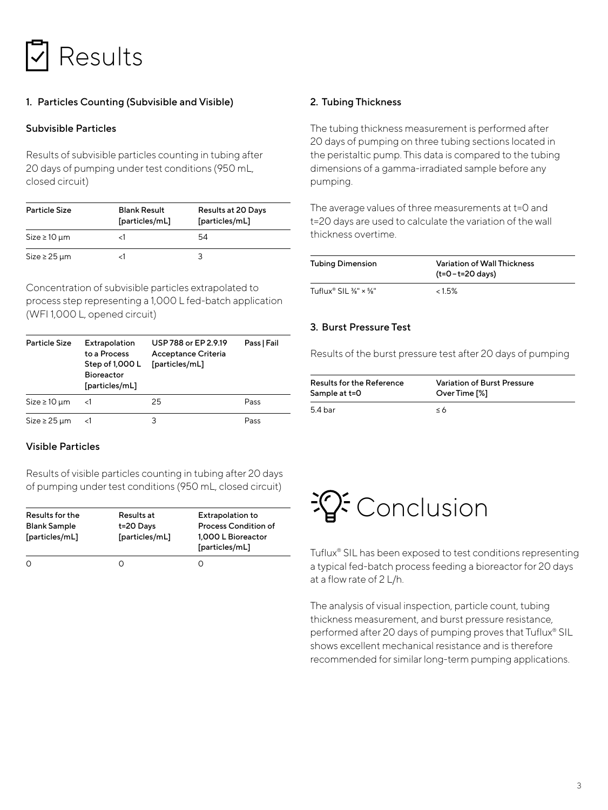

#### 1. Particles Counting (Subvisible and Visible)

#### Subvisible Particles

Results of subvisible particles counting in tubing after 20 days of pumping under test conditions (950 mL, closed circuit)

| <b>Particle Size</b> | <b>Blank Result</b><br>[particles/mL] | <b>Results at 20 Days</b><br>[particles/mL] |
|----------------------|---------------------------------------|---------------------------------------------|
| $Size \ge 10 \mu m$  |                                       | 54                                          |
| $Size \geq 25 \mu m$ |                                       |                                             |

Concentration of subvisible particles extrapolated to process step representing a 1,000 L fed-batch application (WFI 1,000 L, opened circuit)

| <b>Particle Size</b> | Extrapolation<br>to a Process<br>Step of 1,000 L<br><b>Bioreactor</b><br>[particles/mL] | USP 788 or EP 2.9.19<br>Acceptance Criteria<br>[particles/mL] | Pass   Fail |
|----------------------|-----------------------------------------------------------------------------------------|---------------------------------------------------------------|-------------|
| $Size \ge 10 \mu m$  | <1                                                                                      | 25                                                            | Pass        |
| $Size \geq 25 \mu m$ |                                                                                         | 3                                                             | Pass        |

#### Visible Particles

Results of visible particles counting in tubing after 20 days of pumping under test conditions (950 mL, closed circuit)

| Results for the<br><b>Blank Sample</b><br>[particles/mL] | Results at<br>t=20 Days<br>[particles/mL] | <b>Extrapolation to</b><br><b>Process Condition of</b><br>1,000 L Bioreactor<br>[particles/mL] |
|----------------------------------------------------------|-------------------------------------------|------------------------------------------------------------------------------------------------|
|                                                          |                                           |                                                                                                |
| O                                                        |                                           |                                                                                                |

#### 2. Tubing Thickness

The tubing thickness measurement is performed after 20 days of pumping on three tubing sections located in the peristaltic pump. This data is compared to the tubing dimensions of a gamma-irradiated sample before any pumping.

The average values of three measurements at t=0 and t=20 days are used to calculate the variation of the wall thickness overtime.

| <b>Tubing Dimension</b>                       | Variation of Wall Thickness<br>$(t=0-t=20 \text{ days})$ |
|-----------------------------------------------|----------------------------------------------------------|
| Tuflux® SIL $\frac{3}{8}$ " × $\frac{5}{8}$ " | $<$ 1.5%                                                 |

#### 3. Burst Pressure Test

Results of the burst pressure test after 20 days of pumping

| <b>Results for the Reference</b> | Variation of Burst Pressure |
|----------------------------------|-----------------------------|
| Sample at t=0                    | Over Time [%]               |
| 5.4 <sub>bar</sub>               | $\leq 6$                    |



Tuflux® SIL has been exposed to test conditions representing a typical fed-batch process feeding a bioreactor for 20 days at a flow rate of 2 L/h.

The analysis of visual inspection, particle count, tubing thickness measurement, and burst pressure resistance, performed after 20 days of pumping proves that Tuflux® SIL shows excellent mechanical resistance and is therefore recommended for similar long-term pumping applications.